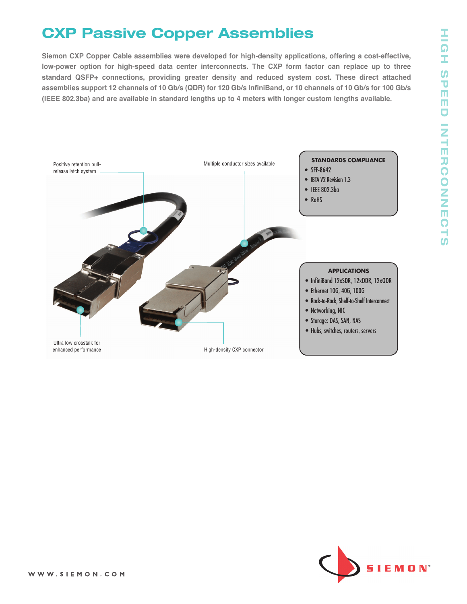### **HIG H S P E E D IN T E R C O N N E C T**  $\Omega$

# **CXP Passive Copper Assemblies**

**Siemon CXP Copper Cable assemblies were developed for high-density applications, offering a cost-effective, low-power option for high-speed data center interconnects. The CXP form factor can replace up to three standard QSFP+ connections, providing greater density and reduced system cost. These direct attached** assemblies support 12 channels of 10 Gb/s (QDR) for 120 Gb/s InfiniBand, or 10 channels of 10 Gb/s for 100 Gb/s **(IEEE 802.3ba) and are available in standard lengths up to 4 meters with longer custom lengths available.**